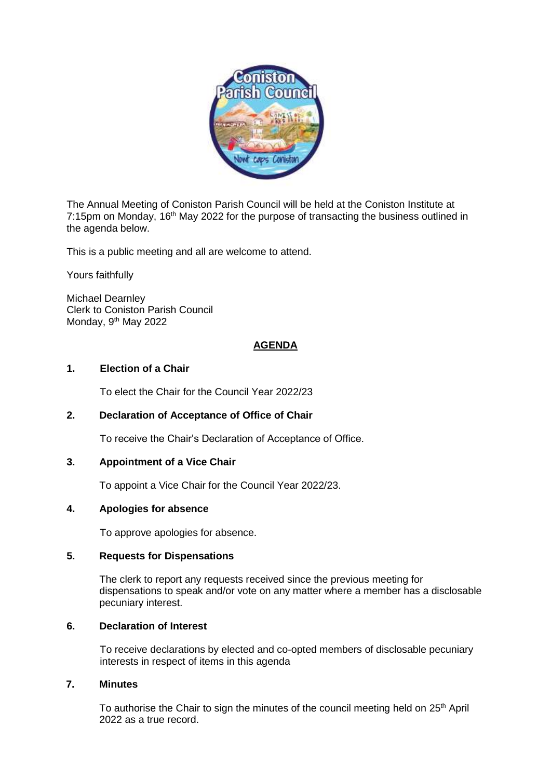

The Annual Meeting of Coniston Parish Council will be held at the Coniston Institute at 7:15pm on Monday, 16<sup>th</sup> May 2022 for the purpose of transacting the business outlined in the agenda below.

This is a public meeting and all are welcome to attend.

Yours faithfully

Michael Dearnley Clerk to Coniston Parish Council Monday, 9<sup>th</sup> May 2022

## **AGENDA**

## **1. Election of a Chair**

To elect the Chair for the Council Year 2022/23

## **2. Declaration of Acceptance of Office of Chair**

To receive the Chair's Declaration of Acceptance of Office.

# **3. Appointment of a Vice Chair**

To appoint a Vice Chair for the Council Year 2022/23.

#### **4. Apologies for absence**

To approve apologies for absence.

## **5. Requests for Dispensations**

The clerk to report any requests received since the previous meeting for dispensations to speak and/or vote on any matter where a member has a disclosable pecuniary interest.

#### **6. Declaration of Interest**

To receive declarations by elected and co-opted members of disclosable pecuniary interests in respect of items in this agenda

# **7. Minutes**

To authorise the Chair to sign the minutes of the council meeting held on  $25<sup>th</sup>$  April 2022 as a true record.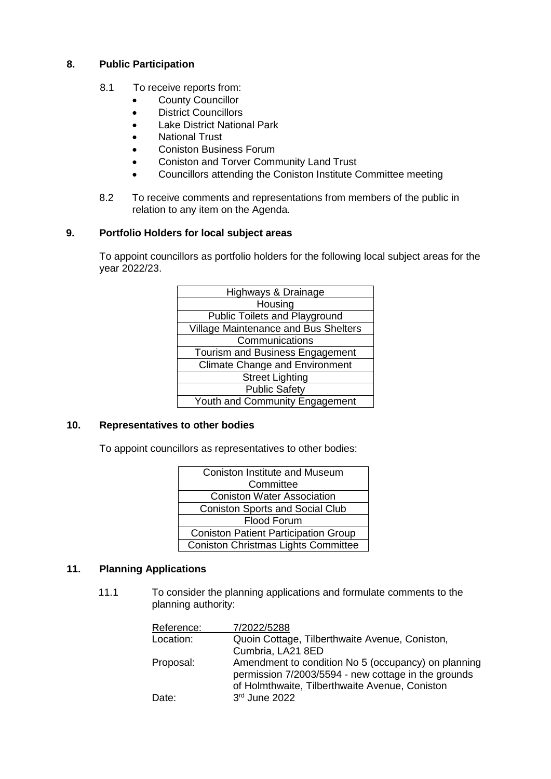# **8. Public Participation**

- 8.1 To receive reports from:
	- County Councillor
	- District Councillors
	- Lake District National Park
	- National Trust
	- Coniston Business Forum
	- Coniston and Torver Community Land Trust
	- Councillors attending the Coniston Institute Committee meeting
- 8.2 To receive comments and representations from members of the public in relation to any item on the Agenda.

## **9. Portfolio Holders for local subject areas**

To appoint councillors as portfolio holders for the following local subject areas for the year 2022/23.

| Highways & Drainage                   |
|---------------------------------------|
| Housing                               |
| <b>Public Toilets and Playground</b>  |
| Village Maintenance and Bus Shelters  |
| Communications                        |
| Tourism and Business Engagement       |
| <b>Climate Change and Environment</b> |
| <b>Street Lighting</b>                |
| <b>Public Safety</b>                  |
| Youth and Community Engagement        |

## **10. Representatives to other bodies**

To appoint councillors as representatives to other bodies:

| <b>Coniston Institute and Museum</b>        |
|---------------------------------------------|
| Committee                                   |
| <b>Coniston Water Association</b>           |
| <b>Coniston Sports and Social Club</b>      |
| Flood Forum                                 |
| <b>Coniston Patient Participation Group</b> |
| <b>Coniston Christmas Lights Committee</b>  |

## **11. Planning Applications**

11.1 To consider the planning applications and formulate comments to the planning authority:

| Reference: | 7/2022/5288                                                                                                                                                  |
|------------|--------------------------------------------------------------------------------------------------------------------------------------------------------------|
| Location:  | Quoin Cottage, Tilberthwaite Avenue, Coniston,                                                                                                               |
|            | Cumbria, LA21 8ED                                                                                                                                            |
| Proposal:  | Amendment to condition No 5 (occupancy) on planning<br>permission 7/2003/5594 - new cottage in the grounds<br>of Holmthwaite, Tilberthwaite Avenue, Coniston |
| Date:      | 3rd June 2022                                                                                                                                                |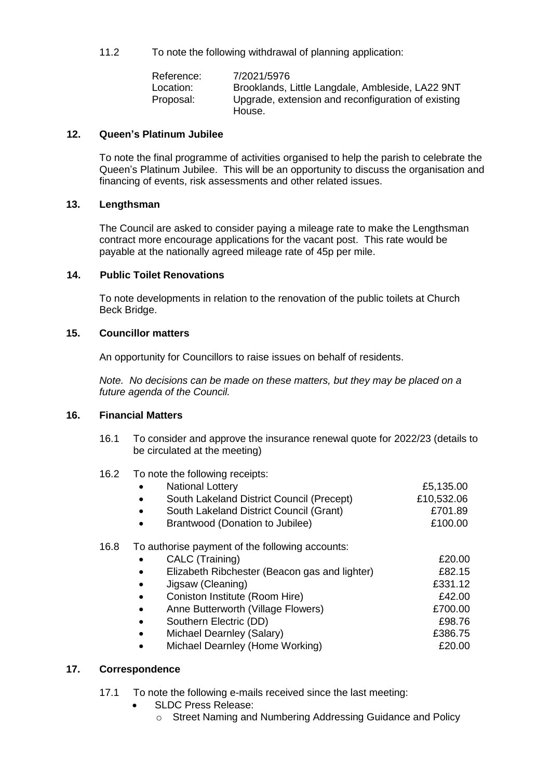11.2 To note the following withdrawal of planning application:

| Reference: | 7/2021/5976                                        |
|------------|----------------------------------------------------|
| Location:  | Brooklands, Little Langdale, Ambleside, LA22 9NT   |
| Proposal:  | Upgrade, extension and reconfiguration of existing |
|            | House.                                             |

## **12. Queen's Platinum Jubilee**

To note the final programme of activities organised to help the parish to celebrate the Queen's Platinum Jubilee. This will be an opportunity to discuss the organisation and financing of events, risk assessments and other related issues.

## **13. Lengthsman**

The Council are asked to consider paying a mileage rate to make the Lengthsman contract more encourage applications for the vacant post. This rate would be payable at the nationally agreed mileage rate of 45p per mile.

## **14. Public Toilet Renovations**

To note developments in relation to the renovation of the public toilets at Church Beck Bridge.

## **15. Councillor matters**

An opportunity for Councillors to raise issues on behalf of residents.

*Note. No decisions can be made on these matters, but they may be placed on a future agenda of the Council.*

## **16. Financial Matters**

- 16.1 To consider and approve the insurance renewal quote for 2022/23 (details to be circulated at the meeting)
- 16.2 To note the following receipts:

| $\bullet$ | <b>National Lottery</b>                   | £5,135.00  |
|-----------|-------------------------------------------|------------|
| $\bullet$ | South Lakeland District Council (Precept) | £10,532.06 |
| $\bullet$ | South Lakeland District Council (Grant)   | £701.89    |
| $\bullet$ | Brantwood (Donation to Jubilee)           | £100.00    |

## 16.8 To authorise payment of the following accounts:

|           | CALC (Training)                               | £20.00  |
|-----------|-----------------------------------------------|---------|
| $\bullet$ | Elizabeth Ribchester (Beacon gas and lighter) | £82.15  |
| $\bullet$ | Jigsaw (Cleaning)                             | £331.12 |
| $\bullet$ | Coniston Institute (Room Hire)                | £42.00  |
| $\bullet$ | Anne Butterworth (Village Flowers)            | £700.00 |
| $\bullet$ | Southern Electric (DD)                        | £98.76  |
| $\bullet$ | Michael Dearnley (Salary)                     | £386.75 |
| $\bullet$ | Michael Dearnley (Home Working)               | £20.00  |
|           |                                               |         |

# **17. Correspondence**

- 17.1 To note the following e-mails received since the last meeting:
	- SLDC Press Release:
		- o Street Naming and Numbering Addressing Guidance and Policy